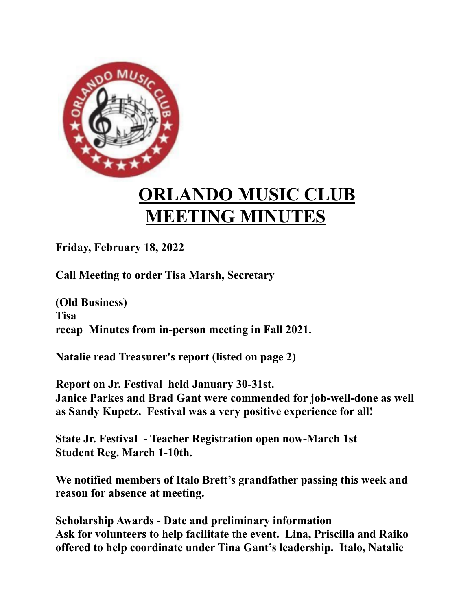

## **ORLANDO MUSIC CLUB MEETING MINUTES**

**Friday, February 18, 2022**

**Call Meeting to order Tisa Marsh, Secretary**

**(Old Business) Tisa recap Minutes from in-person meeting in Fall 2021.**

**Natalie read Treasurer's report (listed on page 2)**

**Report on Jr. Festival held January 30-31st. Janice Parkes and Brad Gant were commended for job-well-done as well as Sandy Kupetz. Festival was a very positive experience for all!**

**State Jr. Festival - Teacher Registration open now-March 1st Student Reg. March 1-10th.**

**We notified members of Italo Brett's grandfather passing this week and reason for absence at meeting.**

**Scholarship Awards - Date and preliminary information Ask for volunteers to help facilitate the event. Lina, Priscilla and Raiko offered to help coordinate under Tina Gant's leadership. Italo, Natalie**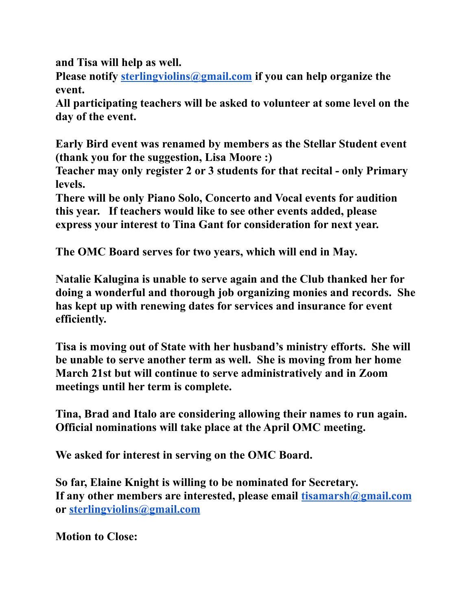**and Tisa will help as well.**

**Please notify [sterlingviolins@gmail.com](mailto:sterlingviolins@gmail.com) if you can help organize the event.**

**All participating teachers will be asked to volunteer at some level on the day of the event.**

**Early Bird event was renamed by members as the Stellar Student event (thank you for the suggestion, Lisa Moore :)**

**Teacher may only register 2 or 3 students for that recital - only Primary levels.**

**There will be only Piano Solo, Concerto and Vocal events for audition this year. If teachers would like to see other events added, please express your interest to Tina Gant for consideration for next year.**

**The OMC Board serves for two years, which will end in May.**

**Natalie Kalugina is unable to serve again and the Club thanked her for doing a wonderful and thorough job organizing monies and records. She has kept up with renewing dates for services and insurance for event efficiently.**

**Tisa is moving out of State with her husband's ministry efforts. She will be unable to serve another term as well. She is moving from her home March 21st but will continue to serve administratively and in Zoom meetings until her term is complete.**

**Tina, Brad and Italo are considering allowing their names to run again. Official nominations will take place at the April OMC meeting.**

**We asked for interest in serving on the OMC Board.**

**So far, Elaine Knight is willing to be nominated for Secretary. If any other members are interested, please email [tisamarsh@gmail.com](mailto:tisamarsh@gmail.com) or [sterlingviolins@gmail.com](mailto:sterlingviolins@gmail.com)**

**Motion to Close:**